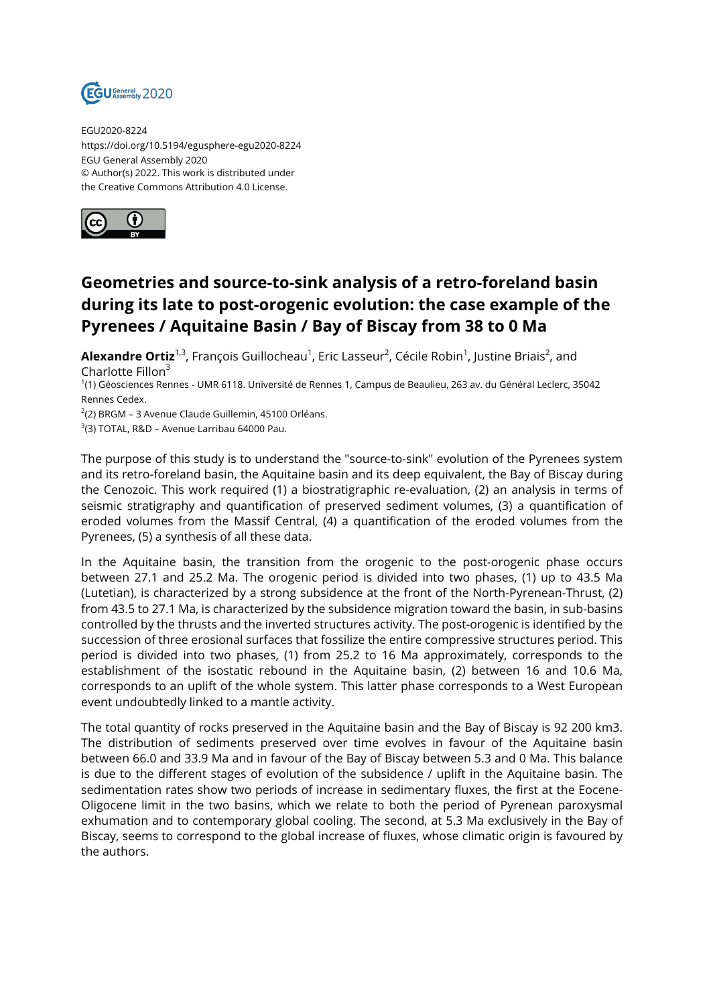

EGU2020-8224 https://doi.org/10.5194/egusphere-egu2020-8224 EGU General Assembly 2020 © Author(s) 2022. This work is distributed under the Creative Commons Attribution 4.0 License.



## **Geometries and source-to-sink analysis of a retro-foreland basin during its late to post-orogenic evolution: the case example of the Pyrenees / Aquitaine Basin / Bay of Biscay from 38 to 0 Ma**

**Alexandre Ortiz**<sup>1,3</sup>, François Guillocheau<sup>1</sup>, Eric Lasseur<sup>2</sup>, Cécile Robin<sup>1</sup>, Justine Briais<sup>2</sup>, and Charlotte Fillon $3$ 

1 (1) Géosciences Rennes - UMR 6118. Université de Rennes 1, Campus de Beaulieu, 263 av. du Général Leclerc, 35042 Rennes Cedex.

 $^{2}$ (2) BRGM – 3 Avenue Claude Guillemin, 45100 Orléans.

 $^3$ (3) TOTAL, R&D – Avenue Larribau 64000 Pau.

The purpose of this study is to understand the "source-to-sink" evolution of the Pyrenees system and its retro-foreland basin, the Aquitaine basin and its deep equivalent, the Bay of Biscay during the Cenozoic. This work required (1) a biostratigraphic re-evaluation, (2) an analysis in terms of seismic stratigraphy and quantification of preserved sediment volumes, (3) a quantification of eroded volumes from the Massif Central, (4) a quantification of the eroded volumes from the Pyrenees, (5) a synthesis of all these data.

In the Aquitaine basin, the transition from the orogenic to the post-orogenic phase occurs between 27.1 and 25.2 Ma. The orogenic period is divided into two phases, (1) up to 43.5 Ma (Lutetian), is characterized by a strong subsidence at the front of the North-Pyrenean-Thrust, (2) from 43.5 to 27.1 Ma, is characterized by the subsidence migration toward the basin, in sub-basins controlled by the thrusts and the inverted structures activity. The post-orogenic is identified by the succession of three erosional surfaces that fossilize the entire compressive structures period. This period is divided into two phases, (1) from 25.2 to 16 Ma approximately, corresponds to the establishment of the isostatic rebound in the Aquitaine basin, (2) between 16 and 10.6 Ma, corresponds to an uplift of the whole system. This latter phase corresponds to a West European event undoubtedly linked to a mantle activity.

The total quantity of rocks preserved in the Aquitaine basin and the Bay of Biscay is 92 200 km3. The distribution of sediments preserved over time evolves in favour of the Aquitaine basin between 66.0 and 33.9 Ma and in favour of the Bay of Biscay between 5.3 and 0 Ma. This balance is due to the different stages of evolution of the subsidence / uplift in the Aquitaine basin. The sedimentation rates show two periods of increase in sedimentary fluxes, the first at the Eocene-Oligocene limit in the two basins, which we relate to both the period of Pyrenean paroxysmal exhumation and to contemporary global cooling. The second, at 5.3 Ma exclusively in the Bay of Biscay, seems to correspond to the global increase of fluxes, whose climatic origin is favoured by the authors.